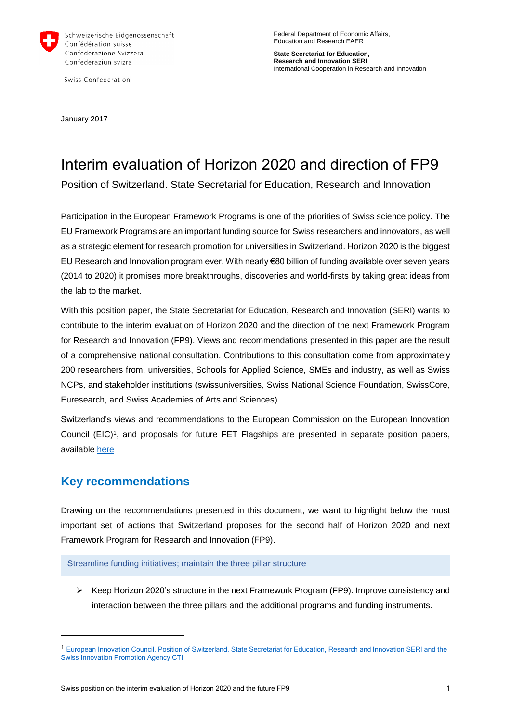

Swiss Confederation

Federal Department of Economic Affairs, Education and Research EAER

**State Secretariat for Education, Research and Innovation SERI** International Cooperation in Research and Innovation

January 2017

# Interim evaluation of Horizon 2020 and direction of FP9

Position of Switzerland. State Secretarial for Education, Research and Innovation

Participation in the European Framework Programs is one of the priorities of Swiss science policy. The EU Framework Programs are an important funding source for Swiss researchers and innovators, as well as a strategic element for research promotion for universities in Switzerland. Horizon 2020 is the biggest EU Research and Innovation program ever. With nearly €80 billion of funding available over seven years (2014 to 2020) it promises more breakthroughs, discoveries and world-firsts by taking great ideas from the lab to the market.

With this position paper, the State Secretariat for Education, Research and Innovation (SERI) wants to contribute to the interim evaluation of Horizon 2020 and the direction of the next Framework Program for Research and Innovation (FP9). Views and recommendations presented in this paper are the result of a comprehensive national consultation. Contributions to this consultation come from approximately 200 researchers from, universities, Schools for Applied Science, SMEs and industry, as well as Swiss NCPs, and stakeholder institutions (swissuniversities, Swiss National Science Foundation, SwissCore, Euresearch, and Swiss Academies of Arts and Sciences).

Switzerland's views and recommendations to the European Commission on the European Innovation Council (EIC)<sup>1</sup>, and proposals for future FET Flagships are presented in separate position papers, available [here](https://ec.europa.eu/research/eic/pdf/contributions/ideas/swiss_innovation_promotion_agency_and_the_state_secretariat_for_education,_research_and_innovation.pdf)

## **Key recommendations**

l

Drawing on the recommendations presented in this document, we want to highlight below the most important set of actions that Switzerland proposes for the second half of Horizon 2020 and next Framework Program for Research and Innovation (FP9).

[Streamline funding initiatives; maintain the three pillar structure](#page-3-0)

 $\triangleright$  Keep Horizon 2020's structure in the next Framework Program (FP9). Improve consistency and interaction between the three pillars and the additional programs and funding instruments.

<sup>&</sup>lt;sup>1</sup> European Innovation Council. Position of Switzerland. State Secretariat for Education, Research and Innovation SERI and the [Swiss Innovation Promotion Agency CTI](https://ec.europa.eu/research/eic/pdf/contributions/ideas/swiss_innovation_promotion_agency_and_the_state_secretariat_for_education,_research_and_innovation.pdf)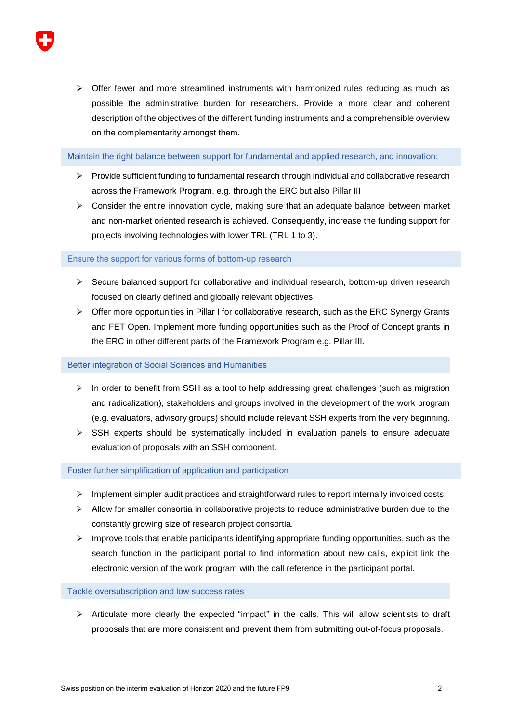$\triangleright$  Offer fewer and more streamlined instruments with harmonized rules reducing as much as possible the administrative burden for researchers. Provide a more clear and coherent description of the objectives of the different funding instruments and a comprehensible overview on the complementarity amongst them.

Maintain [the right balance between support for fundamental and applied research, and innovation:](#page-3-1)

- $\triangleright$  Provide sufficient funding to fundamental research through individual and collaborative research across the Framework Program, e.g. through the ERC but also Pillar III
- $\triangleright$  Consider the entire innovation cycle, making sure that an adequate balance between market and non-market oriented research is achieved. Consequently, increase the funding support for projects involving technologies with lower TRL (TRL 1 to 3).

Ensure the support for various forms of [bottom-up research](#page-4-0)

- $\triangleright$  Secure balanced support for collaborative and individual research, bottom-up driven research focused on clearly defined and globally relevant objectives.
- $\triangleright$  Offer more opportunities in Pillar I for collaborative research, such as the ERC Synergy Grants and FET Open. Implement more funding opportunities such as the Proof of Concept grants in the ERC in other different parts of the Framework Program e.g. Pillar III.

#### [Better integration of Social Sciences and Humanities](#page-5-0)

- $\triangleright$  In order to benefit from SSH as a tool to help addressing great challenges (such as migration and radicalization), stakeholders and groups involved in the development of the work program (e.g. evaluators, advisory groups) should include relevant SSH experts from the very beginning.
- $\triangleright$  SSH experts should be systematically included in evaluation panels to ensure adequate evaluation of proposals with an SSH component.

Foster further simplification of [application and participation](#page-6-0) 

- $\triangleright$  Implement simpler audit practices and straightforward rules to report internally invoiced costs.
- $\triangleright$  Allow for smaller consortia in collaborative projects to reduce administrative burden due to the constantly growing size of research project consortia.
- $\triangleright$  Improve tools that enable participants identifying appropriate funding opportunities, such as the search function in the participant portal to find information about new calls, explicit link the electronic version of the work program with the call reference in the participant portal.

#### [Tackle oversubscription and low success rates](#page-6-1)

 $\triangleright$  Articulate more clearly the expected "impact" in the calls. This will allow scientists to draft proposals that are more consistent and prevent them from submitting out-of-focus proposals.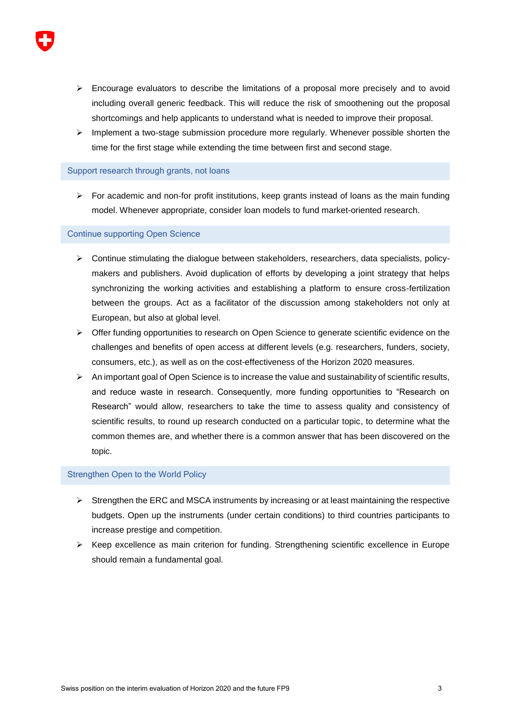- $\triangleright$  Encourage evaluators to describe the limitations of a proposal more precisely and to avoid including overall generic feedback. This will reduce the risk of smoothening out the proposal shortcomings and help applicants to understand what is needed to improve their proposal.
- $\triangleright$  Implement a two-stage submission procedure more regularly. Whenever possible shorten the time for the first stage while extending the time between first and second stage.

#### [Support research through grants, not loans](#page-7-0)

 $\triangleright$  For academic and non-for profit institutions, keep grants instead of loans as the main funding model. Whenever appropriate, consider loan models to fund market-oriented research.

#### [Continue supporting Open Science](#page-7-1)

- $\triangleright$  Continue stimulating the dialogue between stakeholders, researchers, data specialists, policymakers and publishers. Avoid duplication of efforts by developing a joint strategy that helps synchronizing the working activities and establishing a platform to ensure cross-fertilization between the groups. Act as a facilitator of the discussion among stakeholders not only at European, but also at global level.
- $\triangleright$  Offer funding opportunities to research on Open Science to generate scientific evidence on the challenges and benefits of open access at different levels (e.g. researchers, funders, society, consumers, etc.), as well as on the cost-effectiveness of the Horizon 2020 measures.
- $\triangleright$  An important goal of Open Science is to increase the value and sustainability of scientific results, and reduce waste in research. Consequently, more funding opportunities to "Research on Research" would allow, researchers to take the time to assess quality and consistency of scientific results, to round up research conducted on a particular topic, to determine what the common themes are, and whether there is a common answer that has been discovered on the topic.

#### Strengthen [Open to the World](#page-9-0) Policy

- $\triangleright$  Strengthen the ERC and MSCA instruments by increasing or at least maintaining the respective budgets. Open up the instruments (under certain conditions) to third countries participants to increase prestige and competition.
- $\triangleright$  Keep excellence as main criterion for funding. Strengthening scientific excellence in Europe should remain a fundamental goal.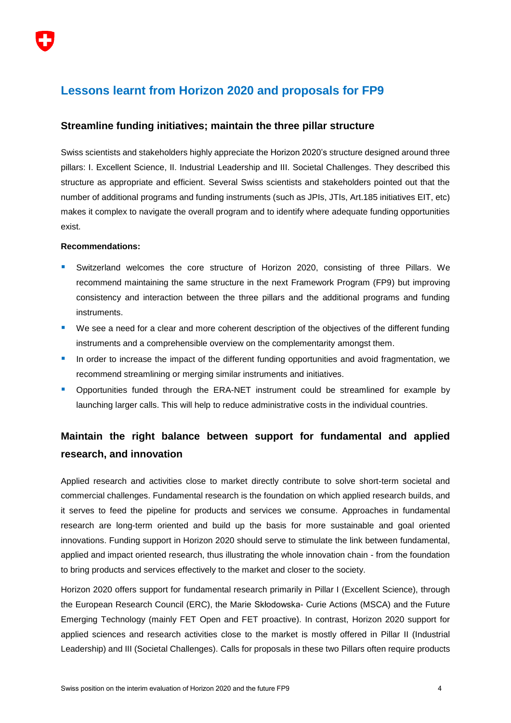## **Lessons learnt from Horizon 2020 and proposals for FP9**

## <span id="page-3-0"></span>**Streamline funding initiatives; maintain the three pillar structure**

Swiss scientists and stakeholders highly appreciate the Horizon 2020's structure designed around three pillars: I. Excellent Science, II. Industrial Leadership and III. Societal Challenges. They described this structure as appropriate and efficient. Several Swiss scientists and stakeholders pointed out that the number of additional programs and funding instruments (such as JPIs, JTIs, Art.185 initiatives EIT, etc) makes it complex to navigate the overall program and to identify where adequate funding opportunities exist.

#### **Recommendations:**

- Switzerland welcomes the core structure of Horizon 2020, consisting of three Pillars. We recommend maintaining the same structure in the next Framework Program (FP9) but improving consistency and interaction between the three pillars and the additional programs and funding instruments.
- **We see a need for a clear and more coherent description of the objectives of the different funding** instruments and a comprehensible overview on the complementarity amongst them.
- **In order to increase the impact of the different funding opportunities and avoid fragmentation, we** recommend streamlining or merging similar instruments and initiatives.
- **•** Opportunities funded through the ERA-NET instrument could be streamlined for example by launching larger calls. This will help to reduce administrative costs in the individual countries.

## <span id="page-3-1"></span>**Maintain the right balance between support for fundamental and applied research, and innovation**

Applied research and activities close to market directly contribute to solve short-term societal and commercial challenges. Fundamental research is the foundation on which applied research builds, and it serves to feed the pipeline for products and services we consume. Approaches in fundamental research are long-term oriented and build up the basis for more sustainable and goal oriented innovations. Funding support in Horizon 2020 should serve to stimulate the link between fundamental, applied and impact oriented research, thus illustrating the whole innovation chain - from the foundation to bring products and services effectively to the market and closer to the society.

Horizon 2020 offers support for fundamental research primarily in Pillar I (Excellent Science), through the European Research Council (ERC), the Marie Skłodowska- Curie Actions (MSCA) and the Future Emerging Technology (mainly FET Open and FET proactive). In contrast, Horizon 2020 support for applied sciences and research activities close to the market is mostly offered in Pillar II (Industrial Leadership) and III (Societal Challenges). Calls for proposals in these two Pillars often require products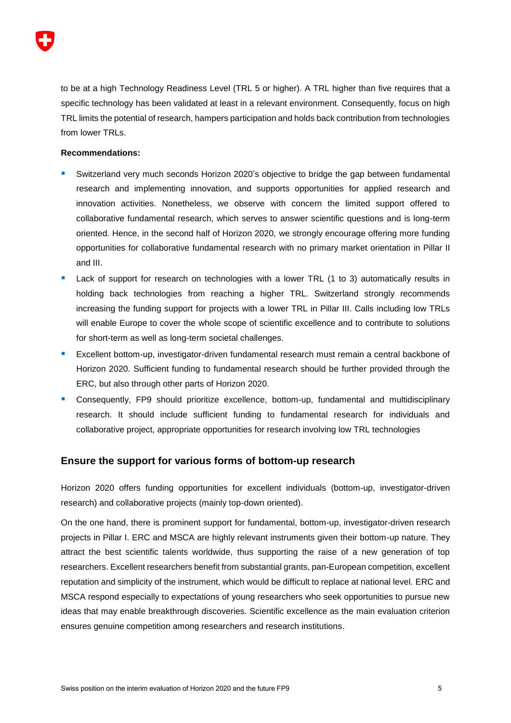

to be at a high Technology Readiness Level (TRL 5 or higher). A TRL higher than five requires that a specific technology has been validated at least in a relevant environment. Consequently, focus on high TRL limits the potential of research, hampers participation and holds back contribution from technologies from lower TRLs.

#### **Recommendations:**

- Switzerland very much seconds Horizon 2020's objective to bridge the gap between fundamental research and implementing innovation, and supports opportunities for applied research and innovation activities. Nonetheless, we observe with concern the limited support offered to collaborative fundamental research, which serves to answer scientific questions and is long-term oriented. Hence, in the second half of Horizon 2020, we strongly encourage offering more funding opportunities for collaborative fundamental research with no primary market orientation in Pillar II and III.
- Lack of support for research on technologies with a lower TRL (1 to 3) automatically results in holding back technologies from reaching a higher TRL. Switzerland strongly recommends increasing the funding support for projects with a lower TRL in Pillar III. Calls including low TRLs will enable Europe to cover the whole scope of scientific excellence and to contribute to solutions for short-term as well as long-term societal challenges.
- **Excellent bottom-up, investigator-driven fundamental research must remain a central backbone of** Horizon 2020. Sufficient funding to fundamental research should be further provided through the ERC, but also through other parts of Horizon 2020.
- Consequently, FP9 should prioritize excellence, bottom-up, fundamental and multidisciplinary research. It should include sufficient funding to fundamental research for individuals and collaborative project, appropriate opportunities for research involving low TRL technologies

#### <span id="page-4-0"></span>**Ensure the support for various forms of bottom-up research**

Horizon 2020 offers funding opportunities for excellent individuals (bottom-up, investigator-driven research) and collaborative projects (mainly top-down oriented).

On the one hand, there is prominent support for fundamental, bottom-up, investigator-driven research projects in Pillar I. ERC and MSCA are highly relevant instruments given their bottom-up nature. They attract the best scientific talents worldwide, thus supporting the raise of a new generation of top researchers. Excellent researchers benefit from substantial grants, pan-European competition, excellent reputation and simplicity of the instrument, which would be difficult to replace at national level. ERC and MSCA respond especially to expectations of young researchers who seek opportunities to pursue new ideas that may enable breakthrough discoveries. Scientific excellence as the main evaluation criterion ensures genuine competition among researchers and research institutions.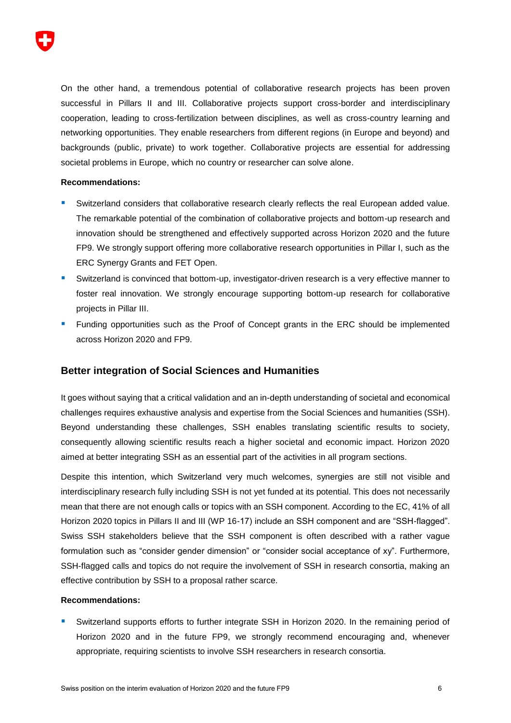

On the other hand, a tremendous potential of collaborative research projects has been proven successful in Pillars II and III. Collaborative projects support cross-border and interdisciplinary cooperation, leading to cross-fertilization between disciplines, as well as cross-country learning and networking opportunities. They enable researchers from different regions (in Europe and beyond) and backgrounds (public, private) to work together. Collaborative projects are essential for addressing societal problems in Europe, which no country or researcher can solve alone.

#### **Recommendations:**

- Switzerland considers that collaborative research clearly reflects the real European added value. The remarkable potential of the combination of collaborative projects and bottom-up research and innovation should be strengthened and effectively supported across Horizon 2020 and the future FP9. We strongly support offering more collaborative research opportunities in Pillar I, such as the ERC Synergy Grants and FET Open.
- Switzerland is convinced that bottom-up, investigator-driven research is a very effective manner to foster real innovation. We strongly encourage supporting bottom-up research for collaborative projects in Pillar III.
- **Funding opportunities such as the Proof of Concept grants in the ERC should be implemented** across Horizon 2020 and FP9.

#### <span id="page-5-0"></span>**Better integration of Social Sciences and Humanities**

It goes without saying that a critical validation and an in-depth understanding of societal and economical challenges requires exhaustive analysis and expertise from the Social Sciences and humanities (SSH). Beyond understanding these challenges, SSH enables translating scientific results to society, consequently allowing scientific results reach a higher societal and economic impact. Horizon 2020 aimed at better integrating SSH as an essential part of the activities in all program sections.

Despite this intention, which Switzerland very much welcomes, synergies are still not visible and interdisciplinary research fully including SSH is not yet funded at its potential. This does not necessarily mean that there are not enough calls or topics with an SSH component. According to the EC, 41% of all Horizon 2020 topics in Pillars II and III (WP 16-17) include an SSH component and are "SSH-flagged". Swiss SSH stakeholders believe that the SSH component is often described with a rather vague formulation such as "consider gender dimension" or "consider social acceptance of xy". Furthermore, SSH-flagged calls and topics do not require the involvement of SSH in research consortia, making an effective contribution by SSH to a proposal rather scarce.

#### **Recommendations:**

 Switzerland supports efforts to further integrate SSH in Horizon 2020. In the remaining period of Horizon 2020 and in the future FP9, we strongly recommend encouraging and, whenever appropriate, requiring scientists to involve SSH researchers in research consortia.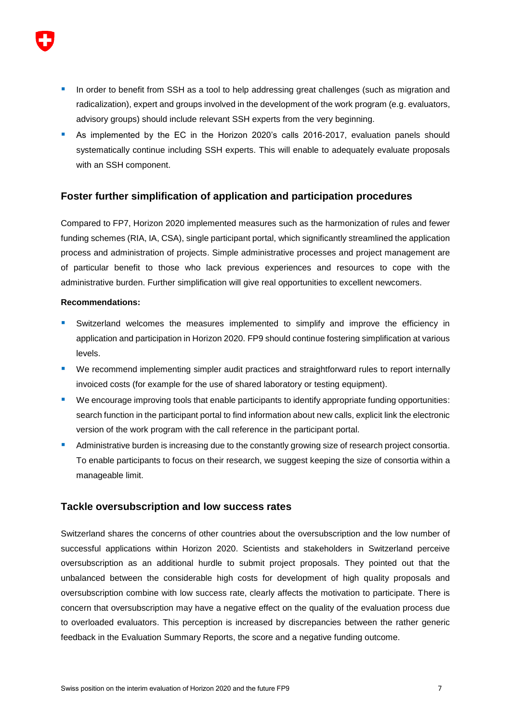- In order to benefit from SSH as a tool to help addressing great challenges (such as migration and radicalization), expert and groups involved in the development of the work program (e.g. evaluators, advisory groups) should include relevant SSH experts from the very beginning.
- As implemented by the EC in the Horizon 2020's calls 2016-2017, evaluation panels should systematically continue including SSH experts. This will enable to adequately evaluate proposals with an SSH component.

## <span id="page-6-0"></span>**Foster further simplification of application and participation procedures**

Compared to FP7, Horizon 2020 implemented measures such as the harmonization of rules and fewer funding schemes (RIA, IA, CSA), single participant portal, which significantly streamlined the application process and administration of projects. Simple administrative processes and project management are of particular benefit to those who lack previous experiences and resources to cope with the administrative burden. Further simplification will give real opportunities to excellent newcomers.

#### **Recommendations:**

- Switzerland welcomes the measures implemented to simplify and improve the efficiency in application and participation in Horizon 2020. FP9 should continue fostering simplification at various levels.
- **E** We recommend implementing simpler audit practices and straightforward rules to report internally invoiced costs (for example for the use of shared laboratory or testing equipment).
- We encourage improving tools that enable participants to identify appropriate funding opportunities: search function in the participant portal to find information about new calls, explicit link the electronic version of the work program with the call reference in the participant portal.
- Administrative burden is increasing due to the constantly growing size of research project consortia. To enable participants to focus on their research, we suggest keeping the size of consortia within a manageable limit.

### <span id="page-6-1"></span>**Tackle oversubscription and low success rates**

Switzerland shares the concerns of other countries about the oversubscription and the low number of successful applications within Horizon 2020. Scientists and stakeholders in Switzerland perceive oversubscription as an additional hurdle to submit project proposals. They pointed out that the unbalanced between the considerable high costs for development of high quality proposals and oversubscription combine with low success rate, clearly affects the motivation to participate. There is concern that oversubscription may have a negative effect on the quality of the evaluation process due to overloaded evaluators. This perception is increased by discrepancies between the rather generic feedback in the Evaluation Summary Reports, the score and a negative funding outcome.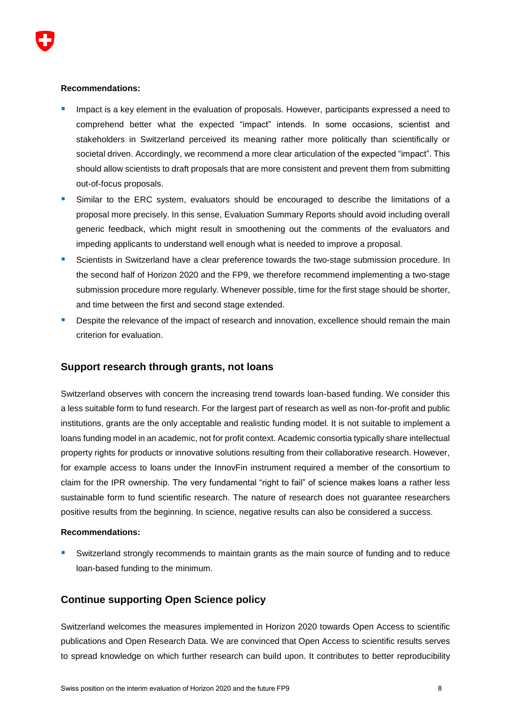**Recommendations:** 

- Impact is a key element in the evaluation of proposals. However, participants expressed a need to comprehend better what the expected "impact" intends. In some occasions, scientist and stakeholders in Switzerland perceived its meaning rather more politically than scientifically or societal driven. Accordingly, we recommend a more clear articulation of the expected "impact". This should allow scientists to draft proposals that are more consistent and prevent them from submitting out-of-focus proposals.
- Similar to the ERC system, evaluators should be encouraged to describe the limitations of a proposal more precisely. In this sense, Evaluation Summary Reports should avoid including overall generic feedback, which might result in smoothening out the comments of the evaluators and impeding applicants to understand well enough what is needed to improve a proposal.
- **Scientists in Switzerland have a clear preference towards the two-stage submission procedure. In** the second half of Horizon 2020 and the FP9, we therefore recommend implementing a two-stage submission procedure more regularly. Whenever possible, time for the first stage should be shorter, and time between the first and second stage extended.
- Despite the relevance of the impact of research and innovation, excellence should remain the main criterion for evaluation.

### <span id="page-7-0"></span>**Support research through grants, not loans**

Switzerland observes with concern the increasing trend towards loan-based funding. We consider this a less suitable form to fund research. For the largest part of research as well as non-for-profit and public institutions, grants are the only acceptable and realistic funding model. It is not suitable to implement a loans funding model in an academic, not for profit context. Academic consortia typically share intellectual property rights for products or innovative solutions resulting from their collaborative research. However, for example access to loans under the InnovFin instrument required a member of the consortium to claim for the IPR ownership. The very fundamental "right to fail" of science makes loans a rather less sustainable form to fund scientific research. The nature of research does not guarantee researchers positive results from the beginning. In science, negative results can also be considered a success.

#### **Recommendations:**

 Switzerland strongly recommends to maintain grants as the main source of funding and to reduce loan-based funding to the minimum.

### <span id="page-7-1"></span>**Continue supporting Open Science policy**

Switzerland welcomes the measures implemented in Horizon 2020 towards Open Access to scientific publications and Open Research Data. We are convinced that Open Access to scientific results serves to spread knowledge on which further research can build upon. It contributes to better reproducibility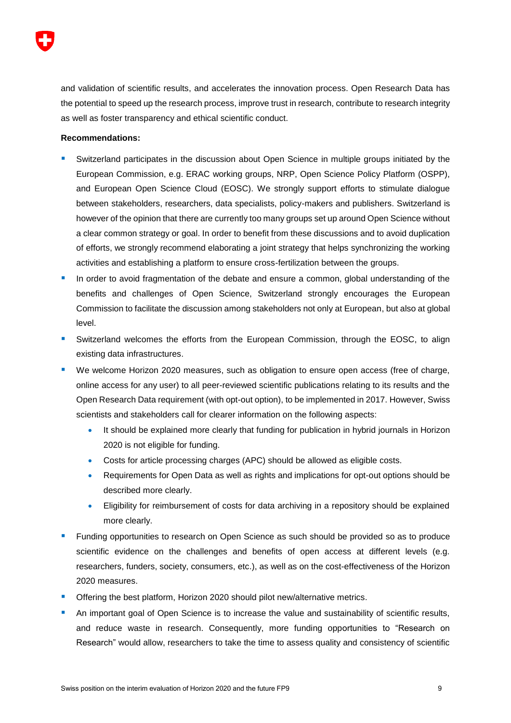

and validation of scientific results, and accelerates the innovation process. Open Research Data has the potential to speed up the research process, improve trust in research, contribute to research integrity as well as foster transparency and ethical scientific conduct.

#### **Recommendations:**

- Switzerland participates in the discussion about Open Science in multiple groups initiated by the European Commission, e.g. ERAC working groups, NRP, Open Science Policy Platform (OSPP), and European Open Science Cloud (EOSC). We strongly support efforts to stimulate dialogue between stakeholders, researchers, data specialists, policy-makers and publishers. Switzerland is however of the opinion that there are currently too many groups set up around Open Science without a clear common strategy or goal. In order to benefit from these discussions and to avoid duplication of efforts, we strongly recommend elaborating a joint strategy that helps synchronizing the working activities and establishing a platform to ensure cross-fertilization between the groups.
- In order to avoid fragmentation of the debate and ensure a common, global understanding of the benefits and challenges of Open Science, Switzerland strongly encourages the European Commission to facilitate the discussion among stakeholders not only at European, but also at global level.
- Switzerland welcomes the efforts from the European Commission, through the EOSC, to align existing data infrastructures.
- We welcome Horizon 2020 measures, such as obligation to ensure open access (free of charge, online access for any user) to all peer-reviewed scientific publications relating to its results and the Open Research Data requirement (with opt-out option), to be implemented in 2017. However, Swiss scientists and stakeholders call for clearer information on the following aspects:
	- It should be explained more clearly that funding for publication in hybrid journals in Horizon 2020 is not eligible for funding.
	- Costs for article processing charges (APC) should be allowed as eligible costs.
	- Requirements for Open Data as well as rights and implications for opt-out options should be described more clearly.
	- Eligibility for reimbursement of costs for data archiving in a repository should be explained more clearly.
- Funding opportunities to research on Open Science as such should be provided so as to produce scientific evidence on the challenges and benefits of open access at different levels (e.g. researchers, funders, society, consumers, etc.), as well as on the cost-effectiveness of the Horizon 2020 measures.
- Offering the best platform, Horizon 2020 should pilot new/alternative metrics.
- An important goal of Open Science is to increase the value and sustainability of scientific results, and reduce waste in research. Consequently, more funding opportunities to "Research on Research" would allow, researchers to take the time to assess quality and consistency of scientific